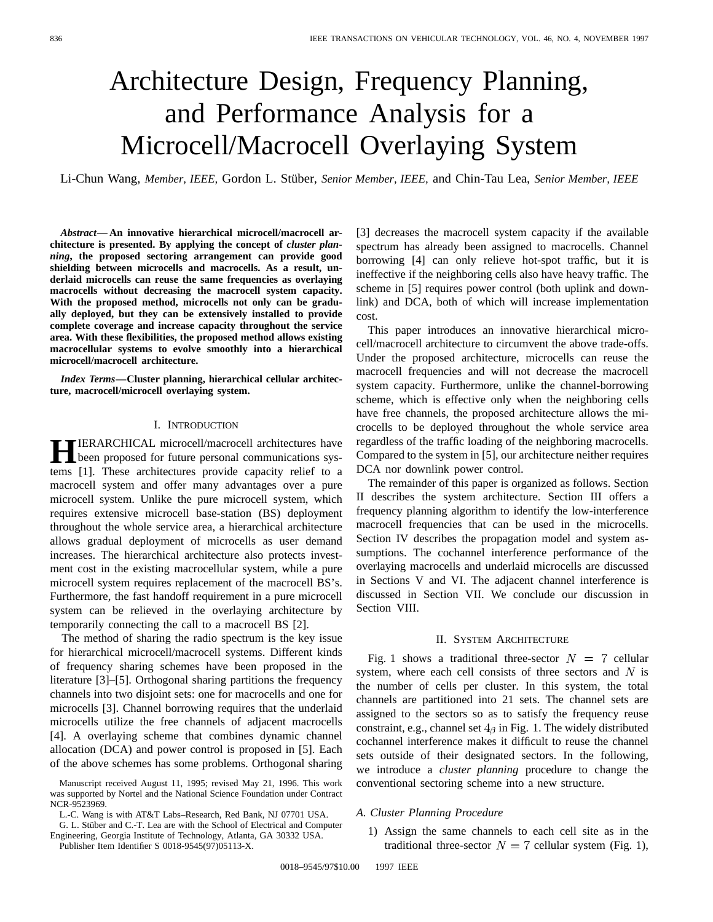# Architecture Design, Frequency Planning, and Performance Analysis for a Microcell/Macrocell Overlaying System

Li-Chun Wang, Member, IEEE, Gordon L. Stüber, Senior Member, IEEE, and Chin-Tau Lea, Senior Member, IEEE

*Abstract—* **An innovative hierarchical microcell/macrocell architecture is presented. By applying the concept of** *cluster planning***, the proposed sectoring arrangement can provide good shielding between microcells and macrocells. As a result, underlaid microcells can reuse the same frequencies as overlaying macrocells without decreasing the macrocell system capacity. With the proposed method, microcells not only can be gradually deployed, but they can be extensively installed to provide complete coverage and increase capacity throughout the service area. With these flexibilities, the proposed method allows existing macrocellular systems to evolve smoothly into a hierarchical microcell/macrocell architecture.**

*Index Terms—***Cluster planning, hierarchical cellular architecture, macrocell/microcell overlaying system.**

#### I. INTRODUCTION

**HIERARCHICAL microcell/macrocell architectures have**<br>been proposed for future personal communications sys-<br>turns [1]. These explitectures argueila expective which to a tems [1]. These architectures provide capacity relief to a macrocell system and offer many advantages over a pure microcell system. Unlike the pure microcell system, which requires extensive microcell base-station (BS) deployment throughout the whole service area, a hierarchical architecture allows gradual deployment of microcells as user demand increases. The hierarchical architecture also protects investment cost in the existing macrocellular system, while a pure microcell system requires replacement of the macrocell BS's. Furthermore, the fast handoff requirement in a pure microcell system can be relieved in the overlaying architecture by temporarily connecting the call to a macrocell BS [2].

The method of sharing the radio spectrum is the key issue for hierarchical microcell/macrocell systems. Different kinds of frequency sharing schemes have been proposed in the literature [3]–[5]. Orthogonal sharing partitions the frequency channels into two disjoint sets: one for macrocells and one for microcells [3]. Channel borrowing requires that the underlaid microcells utilize the free channels of adjacent macrocells [4]. A overlaying scheme that combines dynamic channel allocation (DCA) and power control is proposed in [5]. Each of the above schemes has some problems. Orthogonal sharing

G. L. Stüber and C.-T. Lea are with the School of Electrical and Computer Engineering, Georgia Institute of Technology, Atlanta, GA 30332 USA.

Publisher Item Identifier S 0018-9545(97)05113-X.

[3] decreases the macrocell system capacity if the available spectrum has already been assigned to macrocells. Channel borrowing [4] can only relieve hot-spot traffic, but it is ineffective if the neighboring cells also have heavy traffic. The scheme in [5] requires power control (both uplink and downlink) and DCA, both of which will increase implementation cost.

This paper introduces an innovative hierarchical microcell/macrocell architecture to circumvent the above trade-offs. Under the proposed architecture, microcells can reuse the macrocell frequencies and will not decrease the macrocell system capacity. Furthermore, unlike the channel-borrowing scheme, which is effective only when the neighboring cells have free channels, the proposed architecture allows the microcells to be deployed throughout the whole service area regardless of the traffic loading of the neighboring macrocells. Compared to the system in [5], our architecture neither requires DCA nor downlink power control.

The remainder of this paper is organized as follows. Section II describes the system architecture. Section III offers a frequency planning algorithm to identify the low-interference macrocell frequencies that can be used in the microcells. Section IV describes the propagation model and system assumptions. The cochannel interference performance of the overlaying macrocells and underlaid microcells are discussed in Sections V and VI. The adjacent channel interference is discussed in Section VII. We conclude our discussion in Section VIII.

#### II. SYSTEM ARCHITECTURE

Fig. 1 shows a traditional three-sector  $N = 7$  cellular system, where each cell consists of three sectors and  $N$  is the number of cells per cluster. In this system, the total channels are partitioned into 21 sets. The channel sets are assigned to the sectors so as to satisfy the frequency reuse constraint, e.g., channel set  $4_\beta$  in Fig. 1. The widely distributed cochannel interference makes it difficult to reuse the channel sets outside of their designated sectors. In the following, we introduce a *cluster planning* procedure to change the conventional sectoring scheme into a new structure.

- *A. Cluster Planning Procedure*
	- 1) Assign the same channels to each cell site as in the traditional three-sector  $N = 7$  cellular system (Fig. 1),

Manuscript received August 11, 1995; revised May 21, 1996. This work was supported by Nortel and the National Science Foundation under Contract NCR-9523969.

L.-C. Wang is with AT&T Labs–Research, Red Bank, NJ 07701 USA.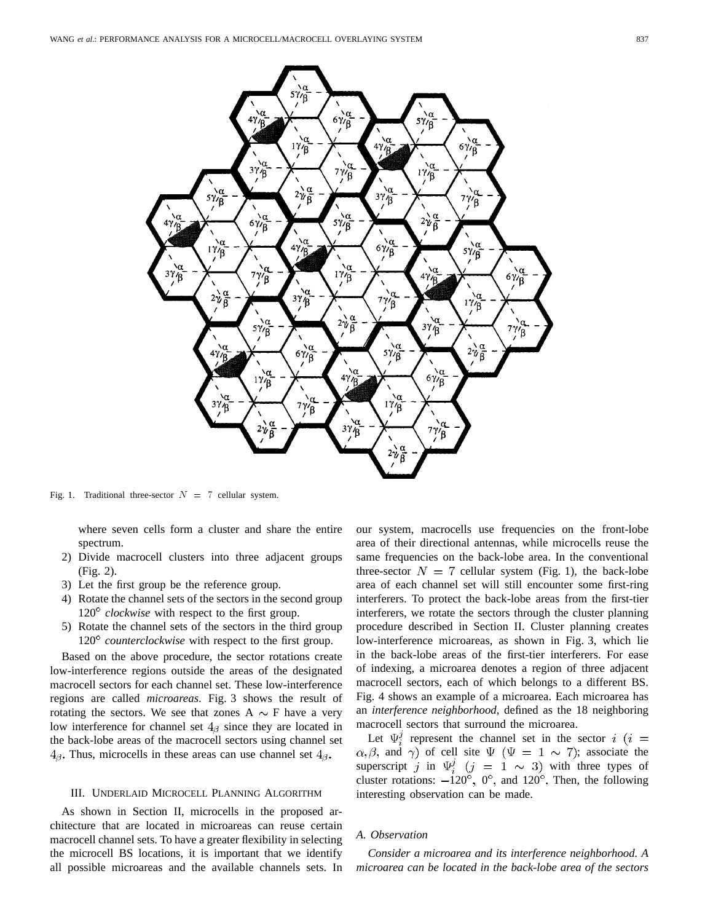

Fig. 1. Traditional three-sector  $N = 7$  cellular system.

where seven cells form a cluster and share the entire spectrum.

- 2) Divide macrocell clusters into three adjacent groups (Fig. 2).
- 3) Let the first group be the reference group.
- 4) Rotate the channel sets of the sectors in the second group  $120^{\circ}$  *clockwise* with respect to the first group.
- 5) Rotate the channel sets of the sectors in the third group 120° *counterclockwise* with respect to the first group.

Based on the above procedure, the sector rotations create low-interference regions outside the areas of the designated macrocell sectors for each channel set. These low-interference regions are called *microareas*. Fig. 3 shows the result of rotating the sectors. We see that zones  $A \sim F$  have a very low interference for channel set  $4<sub>\beta</sub>$  since they are located in the back-lobe areas of the macrocell sectors using channel set  $4_{\beta}$ . Thus, microcells in these areas can use channel set  $4_{\beta}$ .

#### III. UNDERLAID MICROCELL PLANNING ALGORITHM

As shown in Section II, microcells in the proposed architecture that are located in microareas can reuse certain macrocell channel sets. To have a greater flexibility in selecting the microcell BS locations, it is important that we identify all possible microareas and the available channels sets. In our system, macrocells use frequencies on the front-lobe area of their directional antennas, while microcells reuse the same frequencies on the back-lobe area. In the conventional three-sector  $N = 7$  cellular system (Fig. 1), the back-lobe area of each channel set will still encounter some first-ring interferers. To protect the back-lobe areas from the first-tier interferers, we rotate the sectors through the cluster planning procedure described in Section II. Cluster planning creates low-interference microareas, as shown in Fig. 3, which lie in the back-lobe areas of the first-tier interferers. For ease of indexing, a microarea denotes a region of three adjacent macrocell sectors, each of which belongs to a different BS. Fig. 4 shows an example of a microarea. Each microarea has an *interference neighborhood*, defined as the 18 neighboring macrocell sectors that surround the microarea.

Let  $\Psi_i^j$  represent the channel set in the sector i (i =  $\alpha, \beta$ , and  $\gamma$ ) of cell site  $\Psi$  ( $\Psi = 1 \sim 7$ ); associate the superscript j in  $\Psi_i^j$   $(j = 1 \sim 3)$  with three types of cluster rotations:  $-120^\circ$ ,  $0^\circ$ , and  $120^\circ$ . Then, the following interesting observation can be made.

#### *A. Observation*

*Consider a microarea and its interference neighborhood. A microarea can be located in the back-lobe area of the sectors*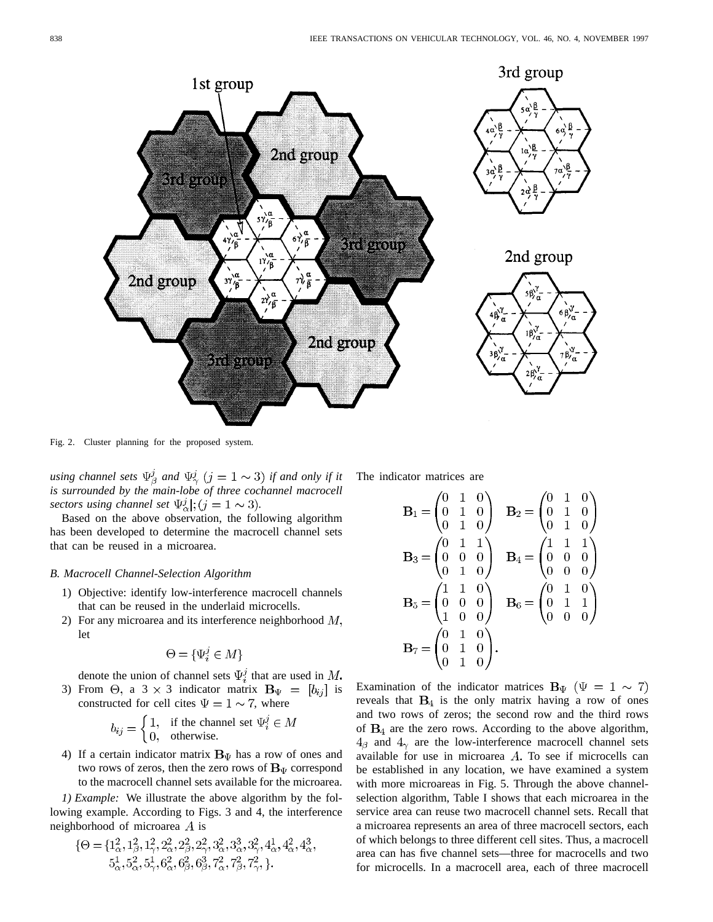

Fig. 2. Cluster planning for the proposed system.

*using channel sets*  $\Psi_{\beta}^{j}$  *and*  $\Psi_{\gamma}^{j}$  (*j* = 1  $\sim$  3) *if and only if it is surrounded by the main-lobe of three cochannel macrocell sectors using channel set*  $\Psi^j_\alpha$ ;  $(j = 1 \sim 3)$ .

Based on the above observation, the following algorithm has been developed to determine the macrocell channel sets that can be reused in a microarea.

# *B. Macrocell Channel-Selection Algorithm*

- 1) Objective: identify low-interference macrocell channels that can be reused in the underlaid microcells.
- 2) For any microarea and its interference neighborhood  $M$ , let

$$
\Theta = \{\Psi_i^j \in M\}
$$

denote the union of channel sets  $\Psi_i^j$  that are used in M. 3) From  $\Theta$ , a 3 × 3 indicator matrix  $\mathbf{B}_{\Psi} = [b_{ij}]$  is constructed for cell cites  $\Psi = 1 \sim 7$ , where

$$
b_{ij} = \begin{cases} 1, & \text{if the channel set } \Psi_i^j \in M \\ 0, & \text{otherwise.} \end{cases}
$$

4) If a certain indicator matrix  $\mathbf{B}_{\Psi}$  has a row of ones and two rows of zeros, then the zero rows of  $B_{\Psi}$  correspond to the macrocell channel sets available for the microarea.

*1) Example:* We illustrate the above algorithm by the following example. According to Figs. 3 and 4, the interference neighborhood of microarea  $\overline{A}$  is

$$
\{\Theta = \{1^2_\alpha, 1^2_\beta, 1^2_\gamma, 2^2_\alpha, 2^2_\beta, 2^2_\gamma, 3^2_\alpha, 3^3_\alpha, 3^2_\gamma, 4^1_\alpha, 4^2_\alpha, 4^3_\alpha, 5^1_\alpha, 5^2_\alpha, 5^1_\gamma, 6^2_\alpha, 6^2_\beta, 6^3_\beta, 7^2_\alpha, 7^2_\beta, 7^2_\gamma, \}.
$$

The indicator matrices are

$$
\mathbf{B}_1 = \begin{pmatrix} 0 & 1 & 0 \\ 0 & 1 & 0 \\ 0 & 1 & 0 \end{pmatrix} \quad \mathbf{B}_2 = \begin{pmatrix} 0 & 1 & 0 \\ 0 & 1 & 0 \\ 0 & 1 & 0 \end{pmatrix}
$$

$$
\mathbf{B}_3 = \begin{pmatrix} 0 & 1 & 1 \\ 0 & 0 & 0 \\ 0 & 1 & 0 \end{pmatrix} \quad \mathbf{B}_4 = \begin{pmatrix} 1 & 1 & 1 \\ 0 & 0 & 0 \\ 0 & 0 & 0 \end{pmatrix}
$$

$$
\mathbf{B}_5 = \begin{pmatrix} 1 & 1 & 0 \\ 0 & 0 & 0 \\ 1 & 0 & 0 \end{pmatrix} \quad \mathbf{B}_6 = \begin{pmatrix} 0 & 1 & 0 \\ 0 & 1 & 1 \\ 0 & 0 & 0 \end{pmatrix}
$$

$$
\mathbf{B}_7 = \begin{pmatrix} 0 & 1 & 0 \\ 0 & 1 & 0 \\ 0 & 1 & 0 \end{pmatrix}.
$$

Examination of the indicator matrices  $B_{\Psi}$  ( $\Psi = 1 \sim 7$ ) reveals that  $B_4$  is the only matrix having a row of ones and two rows of zeros; the second row and the third rows of  $B_4$  are the zero rows. According to the above algorithm,  $4_{\beta}$  and  $4_{\gamma}$  are the low-interference macrocell channel sets available for use in microarea  $A$ . To see if microcells can be established in any location, we have examined a system with more microareas in Fig. 5. Through the above channelselection algorithm, Table I shows that each microarea in the service area can reuse two macrocell channel sets. Recall that a microarea represents an area of three macrocell sectors, each of which belongs to three different cell sites. Thus, a macrocell area can has five channel sets—three for macrocells and two for microcells. In a macrocell area, each of three macrocell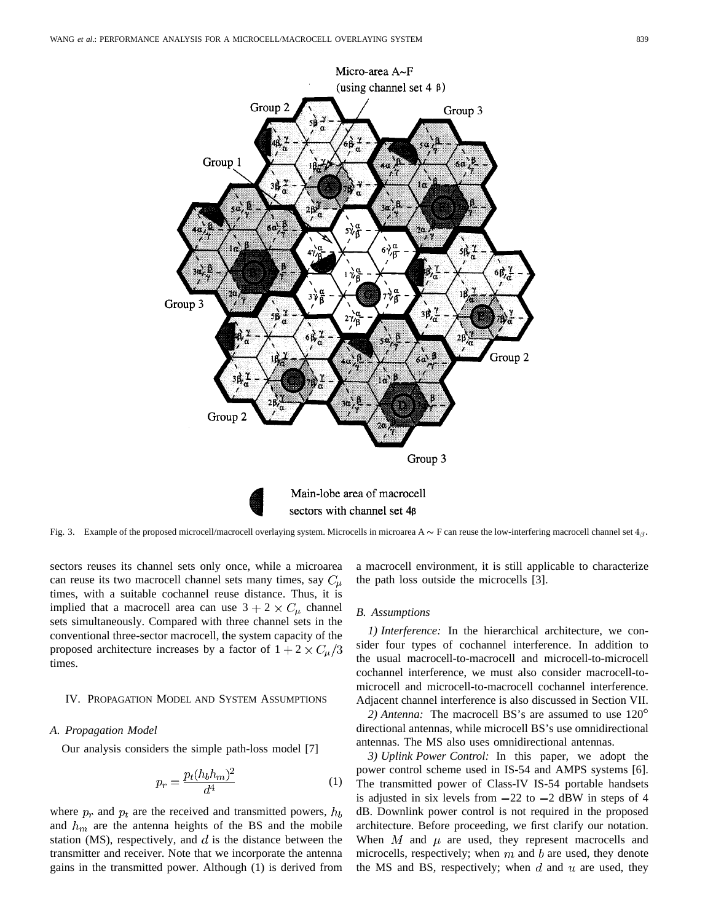

Fig. 3. Example of the proposed microcell/macrocell overlaying system. Microcells in microarea  $A \sim F$  can reuse the low-interfering macrocell channel set  $4 \beta$ .

sectors reuses its channel sets only once, while a microarea can reuse its two macrocell channel sets many times, say  $C_{\mu}$ times, with a suitable cochannel reuse distance. Thus, it is implied that a macrocell area can use  $3 + 2 \times C_\mu$  channel sets simultaneously. Compared with three channel sets in the conventional three-sector macrocell, the system capacity of the proposed architecture increases by a factor of  $1 + 2 \times C_{\mu}/3$ times.

## IV. PROPAGATION MODEL AND SYSTEM ASSUMPTIONS

#### *A. Propagation Model*

Our analysis considers the simple path-loss model [7]

$$
p_r = \frac{p_t(h_b h_m)^2}{d^4} \tag{1}
$$

where  $p_r$  and  $p_t$  are the received and transmitted powers,  $h_b$ and  $h_m$  are the antenna heights of the BS and the mobile station (MS), respectively, and  $d$  is the distance between the transmitter and receiver. Note that we incorporate the antenna gains in the transmitted power. Although (1) is derived from

a macrocell environment, it is still applicable to characterize the path loss outside the microcells [3].

## *B. Assumptions*

*1) Interference:* In the hierarchical architecture, we consider four types of cochannel interference. In addition to the usual macrocell-to-macrocell and microcell-to-microcell cochannel interference, we must also consider macrocell-tomicrocell and microcell-to-macrocell cochannel interference. Adjacent channel interference is also discussed in Section VII.

*2) Antenna:* The macrocell BS's are assumed to use 120 directional antennas, while microcell BS's use omnidirectional antennas. The MS also uses omnidirectional antennas.

*3) Uplink Power Control:* In this paper, we adopt the power control scheme used in IS-54 and AMPS systems [6]. The transmitted power of Class-IV IS-54 portable handsets is adjusted in six levels from  $-22$  to  $-2$  dBW in steps of 4 dB. Downlink power control is not required in the proposed architecture. Before proceeding, we first clarify our notation. When  $M$  and  $\mu$  are used, they represent macrocells and microcells, respectively; when  $m$  and  $b$  are used, they denote the MS and BS, respectively; when  $d$  and  $u$  are used, they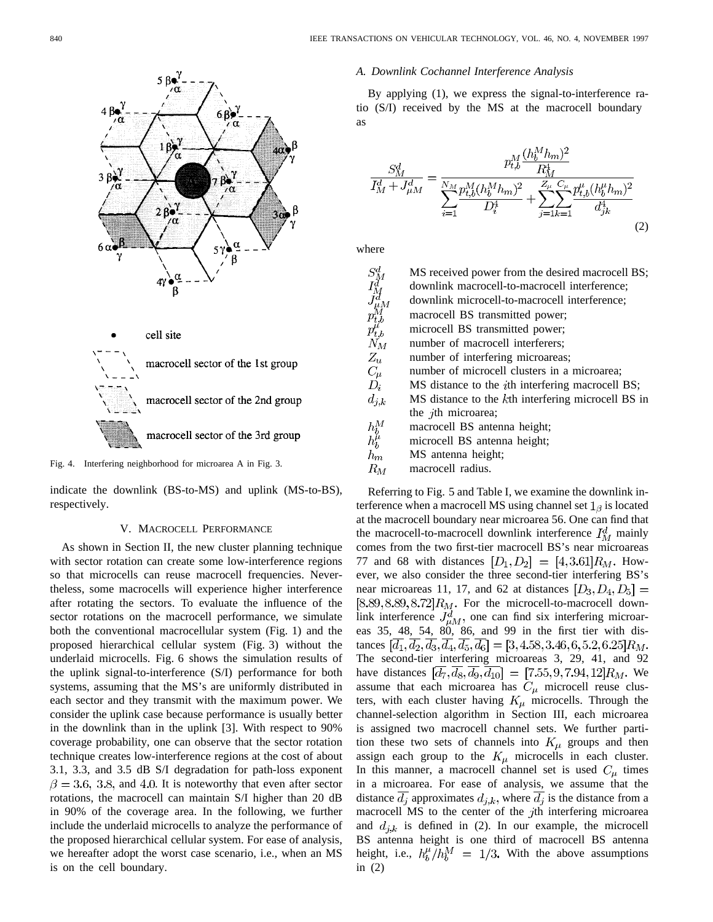

Fig. 4. Interfering neighborhood for microarea A in Fig. 3.

indicate the downlink (BS-to-MS) and uplink (MS-to-BS), respectively.

#### V. MACROCELL PERFORMANCE

As shown in Section II, the new cluster planning technique with sector rotation can create some low-interference regions so that microcells can reuse macrocell frequencies. Nevertheless, some macrocells will experience higher interference after rotating the sectors. To evaluate the influence of the sector rotations on the macrocell performance, we simulate both the conventional macrocellular system (Fig. 1) and the proposed hierarchical cellular system (Fig. 3) without the underlaid microcells. Fig. 6 shows the simulation results of the uplink signal-to-interference (S/I) performance for both systems, assuming that the MS's are uniformly distributed in each sector and they transmit with the maximum power. We consider the uplink case because performance is usually better in the downlink than in the uplink [3]. With respect to 90% coverage probability, one can observe that the sector rotation technique creates low-interference regions at the cost of about 3.1, 3.3, and 3.5 dB S/I degradation for path-loss exponent  $\beta = 3.6, 3.8,$  and 4.0. It is noteworthy that even after sector rotations, the macrocell can maintain S/I higher than 20 dB in 90% of the coverage area. In the following, we further include the underlaid microcells to analyze the performance of the proposed hierarchical cellular system. For ease of analysis, we hereafter adopt the worst case scenario, i.e., when an MS is on the cell boundary.

#### *A. Downlink Cochannel Interference Analysis*

By applying (1), we express the signal-to-interference ratio (S/I) received by the MS at the macrocell boundary as

$$
\frac{S_M^d}{I_M^d + J_{\mu M}^d} = \frac{p_{t,b}^M \frac{(h_b^M h_m)^2}{R_M^4}}{\sum_{i=1}^{N_M} \frac{p_{t,b}^M (h_b^M h_m)^2}{D_i^4} + \sum_{j=1}^{Z_\mu} \sum_{k=1}^{C_\mu} \frac{p_{t,b}^\mu (h_b^\mu h_m)^2}{d_{jk}^4}} \tag{2}
$$

where

| $S^d_M$                                                                              | MS received power from the desired macrocell BS;         |
|--------------------------------------------------------------------------------------|----------------------------------------------------------|
| $I^d_M$                                                                              | downlink macrocell-to-macrocell interference;            |
| $\begin{array}{c} \tilde{J}^d_{\mu M} \ p^M_{t,b} \ p^{\mu}_{t,b} \ N_M \end{array}$ | downlink microcell-to-macrocell interference;            |
|                                                                                      | macrocell BS transmitted power;                          |
|                                                                                      | microcell BS transmitted power;                          |
|                                                                                      | number of macrocell interferers;                         |
| $Z_u$                                                                                | number of interfering microareas;                        |
| $C_\mu$                                                                              | number of microcell clusters in a microarea;             |
| $D_i$                                                                                | MS distance to the <i>i</i> th interfering macrocell BS; |
| $d_{j,k}$                                                                            | MS distance to the kth interfering microcell BS in       |
|                                                                                      | the <i>j</i> th microarea;                               |
|                                                                                      | macrocell BS antenna height;                             |
| $\frac{h_b^M}{h_b^\mu}$                                                              | microcell BS antenna height;                             |
| $h_m$                                                                                | MS antenna height;                                       |
| $R_M$                                                                                | macrocell radius.                                        |

Referring to Fig. 5 and Table I, we examine the downlink interference when a macrocell MS using channel set  $1_{\beta}$  is located at the macrocell boundary near microarea 56. One can find that the macrocell-to-macrocell downlink interference  $I_M^d$  mainly comes from the two first-tier macrocell BS's near microareas 77 and 68 with distances  $[D_1, D_2] = [4, 3.61]R_M$ . However, we also consider the three second-tier interfering BS's near microareas 11, 17, and 62 at distances  $[D_3, D_4, D_5] =$  $[8.89, 8.89, 8.72]R_M$ . For the microcell-to-macrocell downlink interference  $J_{uM}^d$ , one can find six interfering microareas 35, 48, 54, 80, 86, and 99 in the first tier with distances  $[d_1, d_2, d_3, d_4, d_5, d_6] = [3, 4.58, 3.46, 6, 5.2, 6.25]R_M$ . The second-tier interfering microareas 3, 29, 41, and 92 have distances  $[d_7, d_8, d_9, d_{10}] = [7.55, 9, 7.94, 12]R_M$ . We assume that each microarea has  $C_{\mu}$  microcell reuse clusters, with each cluster having  $K_{\mu}$  microcells. Through the channel-selection algorithm in Section III, each microarea is assigned two macrocell channel sets. We further partition these two sets of channels into  $K_{\mu}$  groups and then assign each group to the  $K_{\mu}$  microcells in each cluster. In this manner, a macrocell channel set is used  $C_{\mu}$  times in a microarea. For ease of analysis, we assume that the distance  $\overline{d_j}$  approximates  $d_{j,k}$ , where  $\overline{d_j}$  is the distance from a macrocell MS to the center of the  $j$ th interfering microarea and  $d_{j,k}$  is defined in (2). In our example, the microcell BS antenna height is one third of macrocell BS antenna height, i.e.,  $h_b^{\mu}/h_b^M = 1/3$ . With the above assumptions in (2)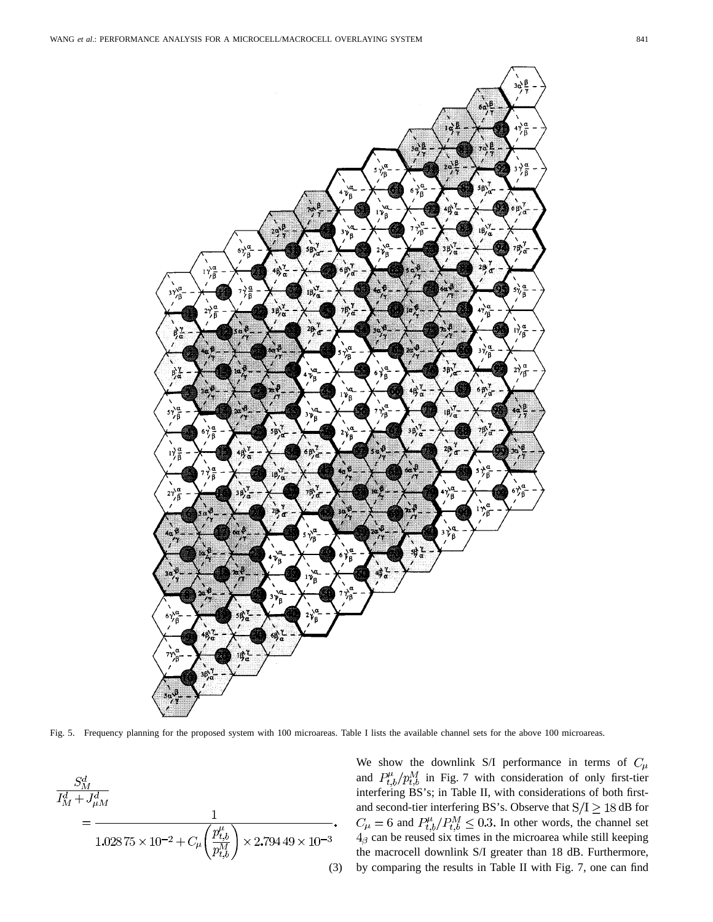

Fig. 5. Frequency planning for the proposed system with 100 microareas. Table I lists the available channel sets for the above 100 microareas.

$$
\frac{S_M^d}{I_M^d + J_{\mu M}^d}
$$
\n
$$
= \frac{1}{1.02875 \times 10^{-2} + C_\mu \left(\frac{p_{t,b}^\mu}{p_{t,b}^M}\right) \times 2.79449 \times 10^{-3}}.
$$
\n(3)

We show the downlink S/I performance in terms of  $C_{\mu}$ and  $P_{t,b}^{\mu}/p_{t,b}^M$  in Fig. 7 with consideration of only first-tier interfering BS's; in Table II, with considerations of both firstand second-tier interfering BS's. Observe that  $S/I \geq 18$  dB for and  $P_{th}^{\mu}/P_{th}^{\mu} \leq 0.3$ . In other words, the channel set can be reused six times in the microarea while still keeping the macrocell downlink S/I greater than 18 dB. Furthermore, by comparing the results in Table II with Fig. 7, one can find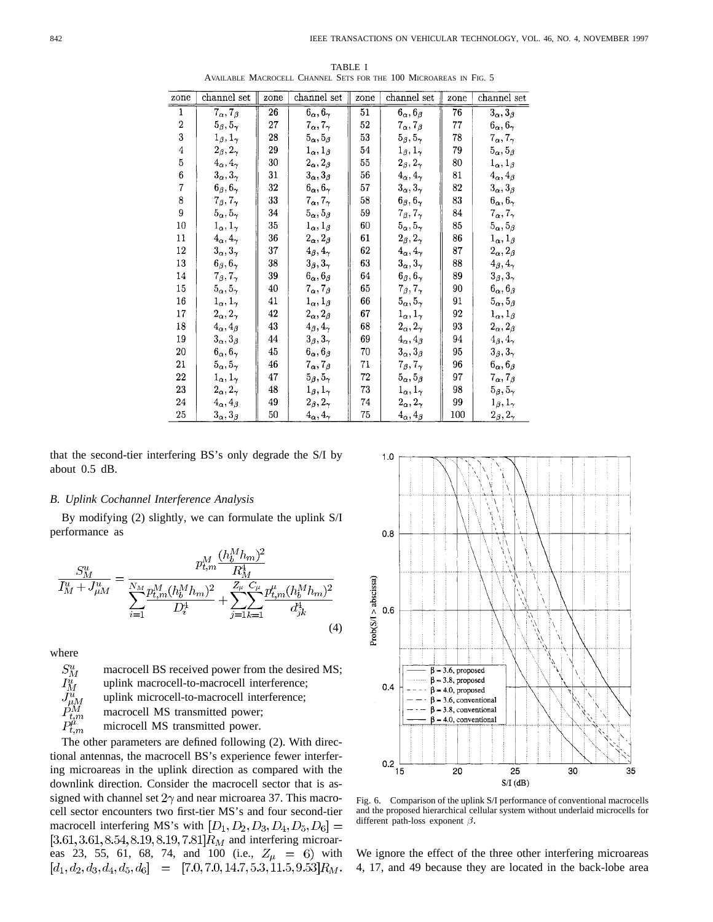| zone             | channel set                 | zone | channel set                 | zone | channel set                | zone | channel set                 |
|------------------|-----------------------------|------|-----------------------------|------|----------------------------|------|-----------------------------|
| $\mathbf 1$      | $7_{\alpha}$ , $7_{\beta}$  | 26   | $6_{\alpha}, 6_{\gamma}$    | 51   | $6_{\alpha}, 6_{\beta}$    | 76   | $3_{\alpha}, 3_{\beta}$     |
| $\boldsymbol{2}$ | $5_\beta, 5_\gamma$         | 27   | $7_{\alpha}$ , $7_{\gamma}$ | 52   | $7_{\alpha}$ , $7_{\beta}$ | 77   | $6_{\alpha}, 6_{\gamma}$    |
| 3                | $1_\beta, 1_\gamma$         | 28   | $5_{\alpha}, 5_{\beta}$     | 53   | $5_{\beta}, 5_{\gamma}$    | 78   | $7_{\alpha}$ , $7_{\gamma}$ |
| $\overline{4}$   | $2_\beta, 2_\gamma$         | 29   | $1_\alpha, 1_\beta$         | 54   | $1_\beta, 1_\gamma$        | 79   | $5_{\alpha}, 5_{\beta}$     |
| 5                | $4\alpha, 4\gamma$          | 30   | $2_{\alpha}, 2_{\beta}$     | 55   | $2_\beta, 2_\gamma$        | 80   | $1_\alpha, 1_\beta$         |
| $\bf{6}$         | $3_{\alpha}, 3_{\gamma}$    | 31   | $3_{\alpha}, 3_{\beta}$     | 56   | $4_{\alpha}, 4_{\gamma}$   | 81   | $4_{\alpha}, 4_{\beta}$     |
| $\overline{7}$   | $6_\beta, 6_\gamma$         | 32   | $6_{\alpha}, 6_{\gamma}$    | 57   | $3_\alpha, 3_\gamma$       | 82   | $3_\alpha, 3_\beta$         |
| 8                | $7_{\beta}$ , $7_{\gamma}$  | 33   | $7\alpha, 7\gamma$          | 58   | $6_{\beta}, 6_{\gamma}$    | 83   | $6_{\alpha}, 6_{\gamma}$    |
| 9                | $5_{\alpha}, 5_{\gamma}$    | 34   | $5_{\alpha}, 5_{\beta}$     | 59   | $7_{\beta}, 7_{\gamma}$    | 84   | $7_\alpha, 7_\gamma$        |
| 10               | $1_{\alpha}$ , $1_{\gamma}$ | 35   | $1_{\alpha}$ , $1_{\beta}$  | 60   | $5\alpha, 5\gamma$         | 85   | $5_{\alpha}, 5_{\beta}$     |
| 11               | $4_{\alpha}, 4_{\gamma}$    | 36   | $2_{\alpha}$ , $2_{\beta}$  | 61   | $2_\beta, 2_\gamma$        | 86   | $1_{\alpha}, 1_{\beta}$     |
| 12               | $3_\alpha, 3_\gamma$        | 37   | $4_\beta, 4_\gamma$         | 62   | $4_{\alpha}, 4_{\gamma}$   | 87   | $2_\alpha, 2_\beta$         |
| 13               | $6_{\beta}, 6_{\gamma}$     | 38   | $3_{\beta}$ , $3_{\gamma}$  | 63   | $3_{\alpha}, 3_{\gamma}$   | 88   | $4_\beta, 4_\gamma$         |
| 14               | $7_{\beta}, 7_{\gamma}$     | 39   | $6_{\alpha}, 6_{\beta}$     | 64   | $6_\beta, 6_\gamma$        | 89   | $3_\beta, 3_\gamma$         |
| 15               | $5_{\alpha}, 5_{\gamma}$    | 40   | $7\alpha$ , $7\beta$        | 65   | $7_{\beta}$ , $7_{\gamma}$ | 90   | $6_{\alpha}, 6_{\beta}$     |
| 16               | $1_{\alpha}, 1_{\gamma}$    | 41   | $1_\alpha, 1_\beta$         | 66   | $5\alpha, 5\gamma$         | 91   | $5_\alpha, 5_\beta$         |
| 17               | $2_{\alpha}, 2_{\gamma}$    | 42   | $2_{\alpha}$ , $2_{\beta}$  | 67   | $1_\alpha, 1_\gamma$       | 92   | $1_\alpha, 1_\beta$         |
| 18               | $4_{\alpha}, 4_{\beta}$     | 43   | $4_\beta, 4_\gamma$         | 68   | $2_\alpha, 2_\gamma$       | 93   | $2_\alpha, 2_\beta$         |
| 19               | $3_{\alpha}, 3_{\beta}$     | 44   | $3_\beta, 3_\gamma$         | 69   | $4_{\alpha}, 4_{\beta}$    | 94   | $4_\beta, 4_\gamma$         |
| 20               | $6_{\alpha}, 6_{\gamma}$    | 45   | $6_{\alpha}, 6_{\beta}$     | 70   | $3_\alpha, 3_\beta$        | 95   | $3_{\beta}$ , $3_{\gamma}$  |
| 21               | $5_\alpha, 5_\gamma$        | 46   | $7_{\alpha}$ , $7_{\beta}$  | 71   | $7\beta, 7\gamma$          | 96   | $6_{\alpha}, 6_{\beta}$     |
| 22               | $1_\alpha, 1_\gamma$        | 47   | $5_{\beta}, 5_{\gamma}$     | 72   | $5_{\alpha}, 5_{\beta}$    | 97   | $7_\alpha, 7_\beta$         |
| 23               | $2_\alpha, 2_\gamma$        | 48   | $1_\beta, 1_\gamma$         | 73   | $1_{\alpha}, 1_{\gamma}$   | 98   | $5g, 5\gamma$               |
| 24               | $4_{\alpha}, 4_{\beta}$     | 49   | $2_\beta, 2_\gamma$         | 74   | $2_{\alpha}, 2_{\gamma}$   | 99   | $1_{\beta}, 1_{\gamma}$     |
| 25               | $3_\alpha, 3_\beta$         | 50   | $4\alpha, 4\gamma$          | 75   | $4_{\alpha}, 4_{\beta}$    | 100  | $2_{\beta}, 2_{\gamma}$     |

TABLE I AVAILABLE MACROCELL CHANNEL SETS FOR THE 100 MICROAREAS IN FIG. 5

that the second-tier interfering BS's only degrade the S/I by about 0.5 dB.

# *B. Uplink Cochannel Interference Analysis*

By modifying (2) slightly, we can formulate the uplink S/I performance as

$$
\frac{S_M^u}{I_M^u + J_{\mu M}^u} = \frac{p_{t,m}^M \frac{(h_b^M h_m)^2}{R_M^4}}{\sum_{i=1}^{N_M} \frac{p_{t,m}^M (h_b^M h_m)^2}{D_i^4} + \sum_{j=1}^{Z_\mu} \sum_{k=1}^{C_\mu} \frac{p_{t,m}^{\mu} (h_b^M h_m)^2}{d_{jk}^4}} \tag{4}
$$



The other parameters are defined following (2). With directional antennas, the macrocell BS's experience fewer interfering microareas in the uplink direction as compared with the downlink direction. Consider the macrocell sector that is assigned with channel set  $2\gamma$  and near microarea 37. This macrocell sector encounters two first-tier MS's and four second-tier macrocell interfering MS's with  $[D_1, D_2, D_3, D_4, D_5, D_6] =$  $[3.61, 3.61, 8.54, 8.19, 8.19, 7.81]R_M$  and interfering microareas 23, 55, 61, 68, 74, and 100 (i.e.,  $Z_{\mu} = 6$ ) with  $[d_1, d_2, d_3, d_4, d_5, d_6] = [7.0, 7.0, 14.7, 5.3, 11.5, 9.53]R_M.$ 



Fig. 6. Comparison of the uplink S/I performance of conventional macrocells and the proposed hierarchical cellular system without underlaid microcells for different path-loss exponent  $\beta$ .

We ignore the effect of the three other interfering microareas 4, 17, and 49 because they are located in the back-lobe area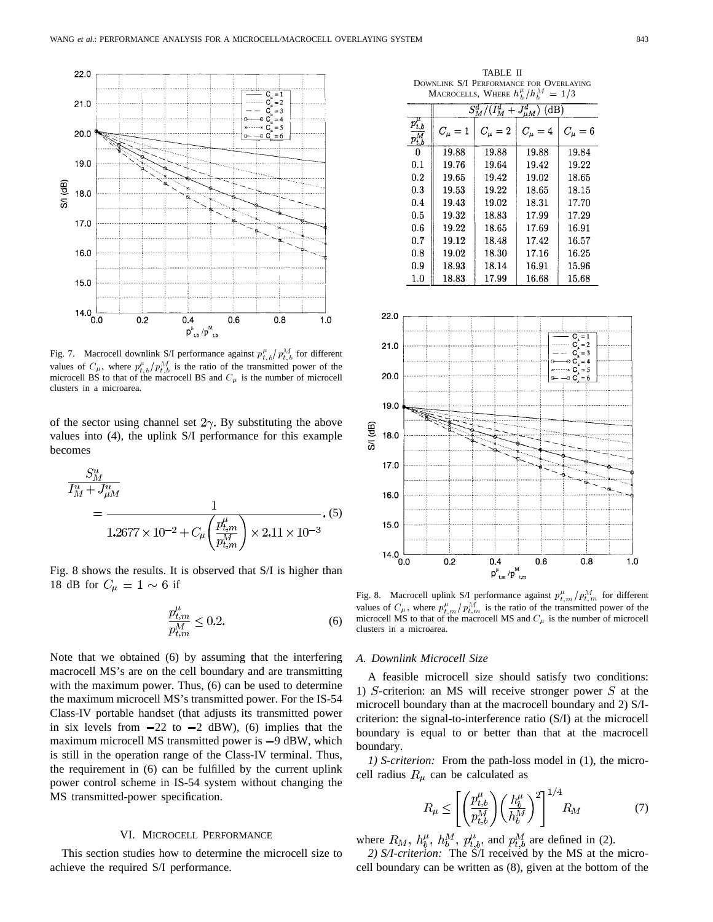

Fig. 7. Macrocell downlink S/I performance against  $p_{t,b}^{\mu}/p_{t,b}^M$  for different values of  $C_{\mu}$ , where  $p_{t,b}^{\mu}/p_{t,b}^{\mathcal{M}}$  is the ratio of the transmitted power of the microcell BS to that of the macrocell BS and  $C_{\mu}$  is the number of microcell clusters in a microarea.

of the sector using channel set  $2\gamma$ . By substituting the above values into (4), the uplink S/I performance for this example becomes

$$
\frac{S_M^u}{I_M^u + J_{\mu M}^u} = \frac{1}{1.2677 \times 10^{-2} + C_\mu \left(\frac{p_{t,m}^\mu}{p_{t,m}^M}\right) \times 2.11 \times 10^{-3}}.
$$
 (5)

Fig. 8 shows the results. It is observed that S/I is higher than 18 dB for  $C_{\mu} = 1 \sim 6$  if

$$
\frac{p_{t,m}^{\mu}}{p_{t,m}^M} \le 0.2.
$$
\n(6)

Note that we obtained (6) by assuming that the interfering macrocell MS's are on the cell boundary and are transmitting with the maximum power. Thus, (6) can be used to determine the maximum microcell MS's transmitted power. For the IS-54 Class-IV portable handset (that adjusts its transmitted power in six levels from  $-22$  to  $-2$  dBW), (6) implies that the maximum microcell MS transmitted power is  $-9$  dBW, which is still in the operation range of the Class-IV terminal. Thus, the requirement in (6) can be fulfilled by the current uplink power control scheme in IS-54 system without changing the MS transmitted-power specification.

#### VI. MICROCELL PERFORMANCE

This section studies how to determine the microcell size to achieve the required S/I performance.

TABLE II DOWNLINK S/I PERFORMANCE FOR OVERLAYING MACROCELLS, WHERE  $h_b^{\mu}/h_b^M = 1/3$ 

| $m_{\rm A}$ $m_{\rm B}$ $m_{\rm A}$ $m_{\rm B}$ $m_{\rm B}$<br>$-110$ |                                           |           |           |           |  |  |  |  |  |
|-----------------------------------------------------------------------|-------------------------------------------|-----------|-----------|-----------|--|--|--|--|--|
|                                                                       | $S^d_M/(I^d_M)$<br>$J_{\mu M}^d)$<br>(dB) |           |           |           |  |  |  |  |  |
| $p_{t,b}^{\phantom{\dag}}$<br>$p_{t,b}$                               | $C_\mu=1$                                 | $C_\mu=2$ | $C_\mu=4$ | $C_\mu=6$ |  |  |  |  |  |
| 0                                                                     | 19.88                                     | 19.88     | 19.88     | 19.84     |  |  |  |  |  |
| 0.1                                                                   | 19.76                                     | 19.64     | 19.42     | 19.22     |  |  |  |  |  |
| 0.2                                                                   | 19.65                                     | 19.42     | 19.02     | 18.65     |  |  |  |  |  |
| 0.3                                                                   | 19.53                                     | 19.22     | 18.65     | 18.15     |  |  |  |  |  |
| 0.4                                                                   | 19.43                                     | 19.02     | 18.31     | 17.70     |  |  |  |  |  |
| 0.5                                                                   | 19.32                                     | 18.83     | 17.99     | 17.29     |  |  |  |  |  |
| 0.6                                                                   | 19.22                                     | 18.65     | 17.69     | 16.91     |  |  |  |  |  |
| 0.7                                                                   | 19.12                                     | 18.48     | 17.42     | 16.57     |  |  |  |  |  |
| 0.8                                                                   | 19.02                                     | 18.30     | 17.16     | 16.25     |  |  |  |  |  |
| 0.9                                                                   | 18.93                                     | 18.14     | 16.91     | 15.96     |  |  |  |  |  |
| 1.0                                                                   | 18.83                                     | 17.99     | 16.68     | 15.68     |  |  |  |  |  |



Fig. 8. Macrocell uplink S/I performance against  $p_{t,m}^{\mu}/p_{t,m}^M$  for different values of  $C_{\mu}$ , where  $p_{t,m}^{\mu}/p_{t,m}^{\overline{M}}$  is the ratio of the transmitted power of the microcell MS to that of the macrocell MS and  $C_{\mu}$  is the number of microcell clusters in a microarea.

#### *A. Downlink Microcell Size*

A feasible microcell size should satisfy two conditions: 1)  $S$ -criterion: an MS will receive stronger power  $S$  at the microcell boundary than at the macrocell boundary and 2) S/Icriterion: the signal-to-interference ratio (S/I) at the microcell boundary is equal to or better than that at the macrocell boundary.

*1) S-criterion:* From the path-loss model in (1), the microcell radius  $R_{\mu}$  can be calculated as

$$
R_{\mu} \le \left[ \left( \frac{p_{t,b}^{\mu}}{p_{t,b}^{M}} \right) \left( \frac{h_b^{\mu}}{h_b^{M}} \right)^2 \right]^{1/4} R_M \tag{7}
$$

where  $R_M$ ,  $h_h^{\mu}$ ,  $h_h^M$ ,  $p_{th}^{\mu}$ , and  $p_{th}^M$  are defined in (2).

*2) S/I-criterion:* The S/I received by the MS at the microcell boundary can be written as (8), given at the bottom of the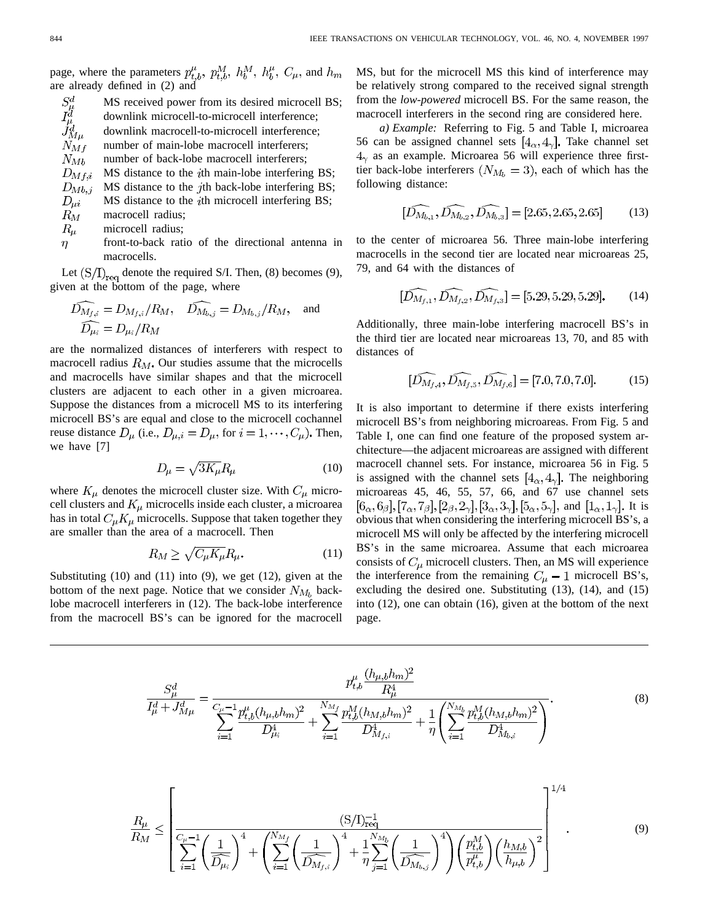page, where the parameters  $p_{t,b}^{\mu}$ ,  $p_{t,b}^{M}$ ,  $h_{b}^{M}$ ,  $h_{b}^{\mu}$ ,  $C_{\mu}$ , and  $h_{m}$ are already defined in (2) and

$$
S^d_\mu
$$
 MS received power from its desired microcell BS;  
\n $I^d_\mu$  downlink microcell-to-microcell interference;  
\n $J^d_{M\mu}$  downlink macrocell-to-microcell interference;  
\n $N_{Mf}$  number of main-lobe macrocell interferers;  
\n $D_{Mf,i}$  MS distance to the *i*th main-lobe interfering BS;  
\n $D_{Mb,j}$  MS distance to the *j*th back-lobe interfering BS;  
\n $D_{\mu i}$  MS distance to the *i*th microcell interfering BS;  
\n $R_{\mu}$  macrocell radius;  
\n $R_{\mu}$  microcell radius;  
\n $n$  front-to-back ratio of the directional antenna in

front-to-back ratio of the directional antenna in macrocells.

Let  $(S/I)_{req}$  denote the required S/I. Then, (8) becomes (9), given at the bottom of the page, where

$$
\widehat{D_{M_{f,i}}} = D_{M_{f,i}}/R_M, \quad \widehat{D_{M_{b,j}}} = D_{M_{b,j}}/R_M, \quad \text{and}
$$
  

$$
\widehat{D_{\mu_i}} = D_{\mu_i}/R_M
$$

are the normalized distances of interferers with respect to macrocell radius  $R_M$ . Our studies assume that the microcells and macrocells have similar shapes and that the microcell clusters are adjacent to each other in a given microarea. Suppose the distances from a microcell MS to its interfering microcell BS's are equal and close to the microcell cochannel reuse distance  $D_{\mu}$  (i.e.,  $D_{\mu,i} = D_{\mu}$ , for  $i = 1, \dots, C_{\mu}$ ). Then, we have [7]

$$
D_{\mu} = \sqrt{3K_{\mu}} R_{\mu} \tag{10}
$$

where  $K_{\mu}$  denotes the microcell cluster size. With  $C_{\mu}$  microcell clusters and  $K_{\mu}$  microcells inside each cluster, a microarea has in total  $C_{\mu}K_{\mu}$  microcells. Suppose that taken together they are smaller than the area of a macrocell. Then

$$
R_M \ge \sqrt{C_\mu K_\mu} R_\mu. \tag{11}
$$

Substituting (10) and (11) into (9), we get (12), given at the bottom of the next page. Notice that we consider  $N_{M_b}$  backlobe macrocell interferers in (12). The back-lobe interference from the macrocell BS's can be ignored for the macrocell MS, but for the microcell MS this kind of interference may be relatively strong compared to the received signal strength from the *low-powered* microcell BS. For the same reason, the macrocell interferers in the second ring are considered here.

*a) Example:* Referring to Fig. 5 and Table I, microarea 56 can be assigned channel sets  $[4_{\alpha}, 4_{\gamma}]$ . Take channel set  $4<sub>\gamma</sub>$  as an example. Microarea 56 will experience three firsttier back-lobe interferers  $(N_{M_b} = 3)$ , each of which has the following distance:

$$
[\widehat{D_{M_{b,1}}}, \widehat{D_{M_{b,2}}}, \widehat{D_{M_{b,3}}}] = [2.65, 2.65, 2.65] \tag{13}
$$

to the center of microarea 56. Three main-lobe interfering macrocells in the second tier are located near microareas 25, 79, and 64 with the distances of

$$
[\widehat{D_{M_{f,1}}}, \widehat{D_{M_{f,2}}}, \widehat{D_{M_{f,3}}}] = [5.29, 5.29, 5.29].
$$
 (14)

Additionally, three main-lobe interfering macrocell BS's in the third tier are located near microareas 13, 70, and 85 with distances of

$$
[\widehat{D_{M_{f,4}}}, \widehat{D_{M_{f,5}}}, \widehat{D_{M_{f,6}}}] = [7.0, 7.0, 7.0].
$$
 (15)

It is also important to determine if there exists interfering microcell BS's from neighboring microareas. From Fig. 5 and Table I, one can find one feature of the proposed system architecture—the adjacent microareas are assigned with different macrocell channel sets. For instance, microarea 56 in Fig. 5 is assigned with the channel sets  $[4_{\alpha}, 4_{\gamma}]$ . The neighboring microareas 45, 46, 55, 57, 66, and 67 use channel sets  $[6_{\alpha}, 6_{\beta}], [7_{\alpha}, 7_{\beta}], [2_{\beta}, 2_{\gamma}], [3_{\alpha}, 3_{\gamma}], [5_{\alpha}, 5_{\gamma}],$  and  $[1_{\alpha}, 1_{\gamma}].$  It is obvious that when considering the interfering microcell BS's, a microcell MS will only be affected by the interfering microcell BS's in the same microarea. Assume that each microarea consists of  $C_{\mu}$  microcell clusters. Then, an MS will experience the interference from the remaining  $C_{\mu} - 1$  microcell BS's, excluding the desired one. Substituting (13), (14), and (15) into (12), one can obtain (16), given at the bottom of the next page.

$$
\frac{S_{\mu}^{d}}{I_{\mu}^{d} + J_{M\mu}^{d}} = \frac{p_{t,b}^{\mu} \frac{(h_{\mu,b} h_m)^2}{R_{\mu}^4}}{\sum_{i=1}^{C_{\mu}-1} \frac{p_{t,b}^{\mu} (h_{\mu,b} h_m)^2}{D_{\mu_i}^4} + \sum_{i=1}^{N_{M_f}} \frac{p_{t,b}^M (h_{M,b} h_m)^2}{D_{M_{f,i}}^4} + \frac{1}{\eta} \left( \sum_{i=1}^{N_{M_b}} \frac{p_{t,b}^M (h_{M,b} h_m)^2}{D_{M_{b,i}}^4} \right)}.
$$
\n(8)

$$
\frac{R_{\mu}}{R_{M}} \leq \left[ \frac{(S/I)_{\text{req}}^{-1}}{\sum_{i=1}^{C_{\mu}-1} \left(\frac{1}{\widehat{D}_{\mu_{i}}}\right)^{4} + \left(\sum_{i=1}^{N_{M_{f}}} \left(\frac{1}{\widehat{D}_{M_{f,i}}}\right)^{4} + \frac{1}{\eta} \sum_{j=1}^{N_{M_{b}}} \left(\frac{1}{\widehat{D}_{M_{b,j}}}\right)^{4} \right) \left(\frac{p_{t,b}^{M}}{p_{t,b}^{\mu}}\right) \left(\frac{h_{M,b}}{h_{\mu,b}}\right)^{2} \right]^{1/4} \tag{9}
$$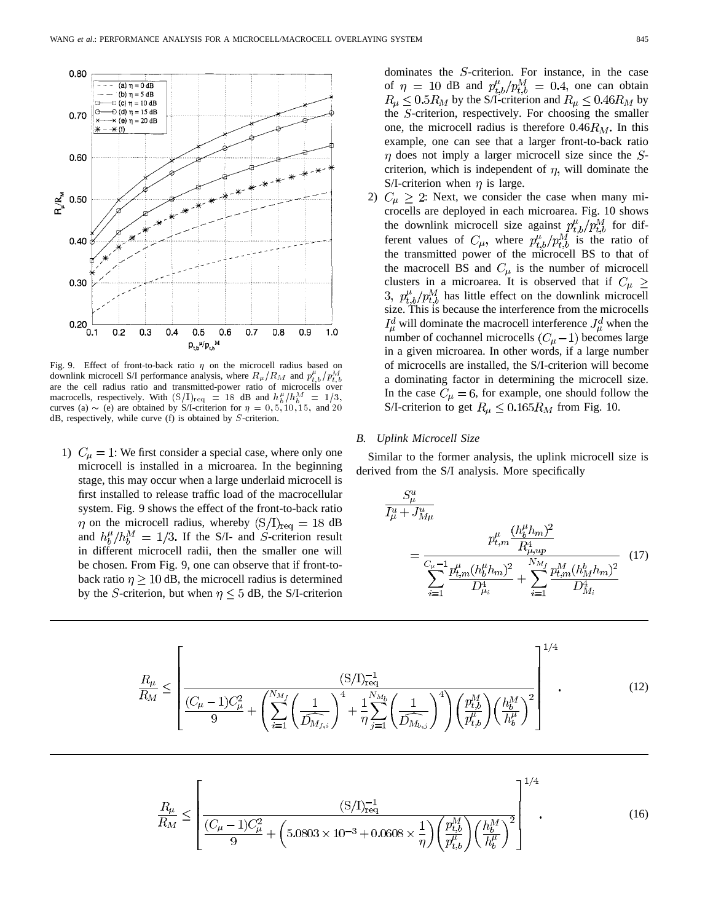

Fig. 9. Effect of front-to-back ratio  $\eta$  on the microcell radius based on downlink microcell S/I performance analysis, where  $R_{\mu}/R_M$  and  $p_{t,b}^{\mu}/p_{t,b}^M$ are the cell radius ratio and transmitted-power ratio of microcells over macrocells, respectively. With  $(S/I)_{\text{req}} = 18$  dB and  $h_b^{\mu}/h_b^M = 1/3$ , curves (a)  $\sim$  (e) are obtained by S/I-criterion for  $\eta = 0, 5, 10, 15,$  and 20 dB, respectively, while curve (f) is obtained by S-criterion.

1)  $C_{\mu} = 1$ : We first consider a special case, where only one microcell is installed in a microarea. In the beginning stage, this may occur when a large underlaid microcell is first installed to release traffic load of the macrocellular system. Fig. 9 shows the effect of the front-to-back ratio  $\eta$  on the microcell radius, whereby  $(S/I)_{req} = 18$  dB and  $h_h^{\mu}/h_h^{\overline{M}} = 1/3$ . If the S/I- and S-criterion result in different microcell radii, then the smaller one will be chosen. From Fig. 9, one can observe that if front-toback ratio  $\eta \geq 10$  dB, the microcell radius is determined by the S-criterion, but when  $\eta \leq 5$  dB, the S/I-criterion

dominates the  $S$ -criterion. For instance, in the case of  $\eta = 10$  dB and  $p_{t,b}^{\mu}/p_{t,b}^M = 0.4$ , one can obtain  $R_{\mu} \leq 0.5R_M$  by the S/I-criterion and  $R_{\mu} \leq 0.46R_M$  by the  $S$ -criterion, respectively. For choosing the smaller one, the microcell radius is therefore  $0.46 R_M$ . In this example, one can see that a larger front-to-back ratio  $\eta$  does not imply a larger microcell size since the Scriterion, which is independent of  $\eta$ , will dominate the S/I-criterion when  $\eta$  is large.

2)  $C_{\mu} \geq 2$ : Next, we consider the case when many microcells are deployed in each microarea. Fig. 10 shows the downlink microcell size against  $p_{th}^{\mu}/p_{th}^{M}$  for different values of  $C_{\mu}$ , where  $p_{t h}^{\mu}/p_{t h}^{M}$  is the ratio of the transmitted power of the microcell BS to that of the macrocell BS and  $C_{\mu}$  is the number of microcell clusters in a microarea. It is observed that if  $C_\mu \ge$ 3,  $p_{th}^{\mu}/p_{th}^{M}$  has little effect on the downlink microcell size. This is because the interference from the microcells  $I^d_\mu$  will dominate the macrocell interference  $J^d_\mu$  when the number of cochannel microcells  $(C_{\mu}-1)$  becomes large in a given microarea. In other words, if a large number of microcells are installed, the S/I-criterion will become a dominating factor in determining the microcell size. In the case  $C_{\mu} = 6$ , for example, one should follow the S/I-criterion to get  $R_{\mu} \leq 0.165 R_M$  from Fig. 10.

#### *B. Uplink Microcell Size*

Similar to the former analysis, the uplink microcell size is derived from the S/I analysis. More specifically

$$
\frac{S_{\mu}^{u}}{I_{\mu}^{u} + J_{M\mu}^{u}}
$$
\n
$$
= \frac{p_{t,m}^{\mu} \frac{(h_b^{\mu} h_m)^2}{R_{\mu,up}^4}}{\sum_{i=1}^{C_{\mu}-1} \frac{p_{t,m}^{\mu} (h_b^{\mu} h_m)^2}{D_{\mu_i}^4} + \sum_{i=1}^{N_{M_f}} \frac{p_{t,m}^M (h_M^b h_m)^2}{D_{M_i}^4}} \tag{17}
$$

$$
\frac{R_{\mu}}{R_{M}} \leq \left[ \frac{(S/I)_{\text{req}}^{-1}}{(\frac{C_{\mu} - 1)C_{\mu}^{2}}{9} + \left(\sum_{i=1}^{N_{M_{f}}} \left(\frac{1}{\widehat{D_{M_{f,i}}}}\right)^{4} + \frac{1}{\eta} \sum_{j=1}^{N_{M_{b}}} \left(\frac{1}{\widehat{D_{M_{b,j}}}}\right)^{4} \right) \left(\frac{p_{t,b}^{M}}{p_{t,b}^{\mu}}\right)^{2} \right]^{1/4}.
$$
\n(12)

$$
\frac{R_{\mu}}{R_{M}} \leq \left[ \frac{(S/I)_{\text{req}}^{-1}}{(\frac{C_{\mu} - 1}{9})C_{\mu}^{2}} + \left(5.0803 \times 10^{-3} + 0.0608 \times \frac{1}{\eta}\right) \left(\frac{p_{t,b}^{M}}{p_{t,b}^{\mu}}\right) \left(\frac{h_{b}^{M}}{h_{b}^{\mu}}\right)^{2} \right]^{1/4}.
$$
\n(16)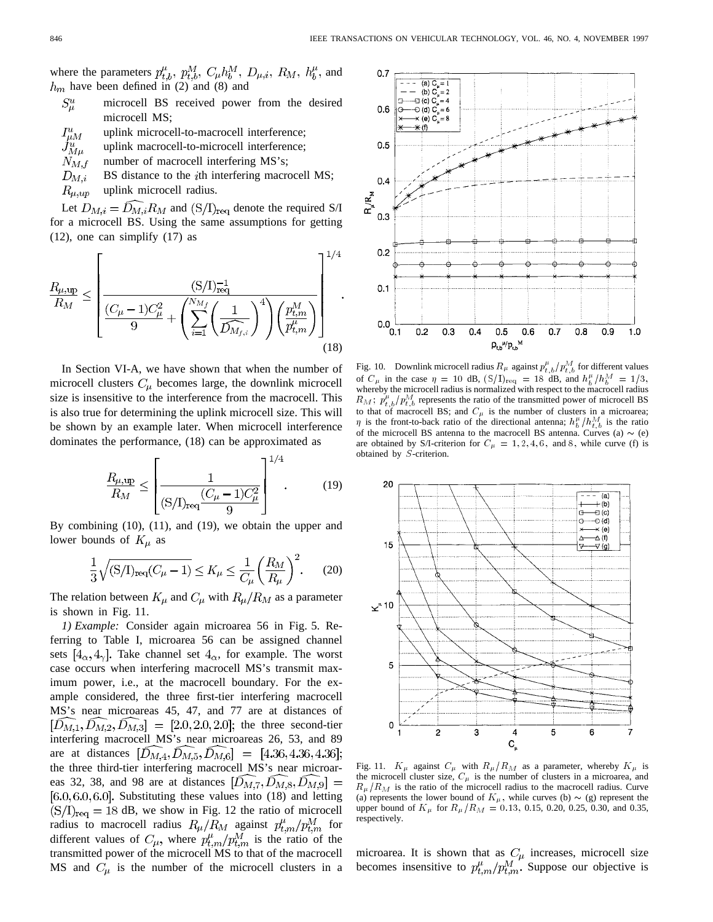where the parameters  $p_{t,b}^{\mu}$ ,  $p_{t,b}^M$ ,  $C_{\mu}h_b^M$ ,  $D_{\mu,i}$ ,  $R_M$ ,  $h_b^{\mu}$ , and  $h_m$  have been defined in (2) and (8) and

- $S^u_\mu$ microcell BS received power from the desired microcell MS;
- $I^{u}_{\mu M}\atop J^{u}_{M\mu}\atop N_{M,f}$ uplink microcell-to-macrocell interference;
- uplink macrocell-to-microcell interference;
- number of macrocell interfering MS's;
- $D_{M,i}$ BS distance to the *i*th interfering macrocell MS;  $R_{\mu,up}$ uplink microcell radius.

Let  $D_{M,i} = \widehat{D_{M,i}} R_M$  and  $(S/I)_{\text{req}}$  denote the required S/I for a microcell BS. Using the same assumptions for getting (12), one can simplify (17) as

$$
\frac{R_{\mu,\text{up}}}{R_M} \le \left[ \frac{(S/I)_{\text{req}}^{-1}}{9} + \left( \sum_{i=1}^{N_{M_f}} \left( \frac{1}{\widehat{D_{M_{f,i}}}} \right)^4 \right) \left( \frac{p_{t,m}^M}{p_{t,m}^{\mu}} \right) \right]^{1/4}
$$
\n(18)

In Section VI-A, we have shown that when the number of microcell clusters  $C_{\mu}$  becomes large, the downlink microcell size is insensitive to the interference from the macrocell. This is also true for determining the uplink microcell size. This will be shown by an example later. When microcell interference dominates the performance, (18) can be approximated as

$$
\frac{R_{\mu,\text{up}}}{R_M} \le \left[ \frac{1}{(\text{S/D}_{\text{req}} \frac{(C_{\mu} - 1)C_{\mu}^2}{9})} \right]^{1/4}.
$$
 (19)

By combining (10), (11), and (19), we obtain the upper and lower bounds of  $K_\mu$  as

$$
\frac{1}{3}\sqrt{(S/I)_{req}(C_{\mu}-1)} \le K_{\mu} \le \frac{1}{C_{\mu}} \left(\frac{R_M}{R_{\mu}}\right)^2.
$$
 (20)

The relation between  $K_{\mu}$  and  $C_{\mu}$  with  $R_{\mu}/R_M$  as a parameter is shown in Fig. 11.

*1) Example:* Consider again microarea 56 in Fig. 5. Referring to Table I, microarea 56 can be assigned channel sets  $[4_{\alpha}, 4_{\gamma}]$ . Take channel set  $4_{\alpha}$ , for example. The worst case occurs when interfering macrocell MS's transmit maximum power, i.e., at the macrocell boundary. For the example considered, the three first-tier interfering macrocell MS's near microareas 45, 47, and 77 are at distances of  $[\hat{D}_{M,1}, \hat{D}_{M,2}, \hat{D}_{M,3}] = [2.0, 2.0, 2.0]$ ; the three second-tier interfering macrocell MS's near microareas 26, 53, and 89 are at distances  $[D_{M,4}, \bar{D}_{M,5}, \bar{D}_{M,6}] = [4.36, 4.36, 4.36]$ ; the three third-tier interfering macrocell MS's near microareas 32, 38, and 98 are at distances  $[\hat{D}_{M,7}, \hat{D}_{M,8}, \hat{D}_{M,9}] =$  $[6.0, 6.0, 6.0]$ . Substituting these values into  $(18)$  and letting  $(S/I)_{req} = 18$  dB, we show in Fig. 12 the ratio of microcell radius to macrocell radius  $R_{\mu}/R_M$  against  $p_{t,m}^{\mu}/p_{t,m}^M$  for different values of  $C_{\mu}$ , where  $p_{t,m}^{\mu}/p_{t,m}^{M}$  is the ratio of the transmitted power of the microcell MS to that of the macrocell MS and  $C_{\mu}$  is the number of the microcell clusters in a



Fig. 10. Downlink microcell radius  $R_{\mu}$  against  $p_{t,b}^{\mu}/p_{t,b}^{\overline{M}}$  for different values of  $C_{\mu}$  in the case  $\eta = 10$  dB,  $(S/I)_{\text{req}} = 18$  dB, and  $h_b^{\mu}/h_b^M = 1/3$ , whereby the microcell radius is normalized with respect to the macrocell radius  $R_M$ ;  $p_{t,b}^{\mu}/p_{t,b}^M$  represents the ratio of the transmitted power of microcell BS to that of macrocell BS; and  $C_{\mu}$  is the number of clusters in a microarea;  $\eta$  is the front-to-back ratio of the directional antenna;  $h_b^{\mu}/h_{t,b}^M$  is the ratio of the microcell BS antenna to the macrocell BS antenna. Curves (a)  $\sim$  (e) are obtained by S/I-criterion for  $C_{\mu} = 1, 2, 4, 6$ , and 8, while curve (f) is obtained by S-criterion.



Fig. 11.  $K_{\mu}$  against  $C_{\mu}$  with  $R_{\mu}/R_M$  as a parameter, whereby  $K_{\mu}$  is the microcell cluster size,  $C_{\mu}$  is the number of clusters in a microarea, and  $R_{\mu}/R_M$  is the ratio of the microcell radius to the macrocell radius. Curve (a) represents the lower bound of  $K_{\mu}$ , while curves (b)  $\sim$  (g) represent the upper bound of  $K_{\mu}$  for  $R_{\mu}/R_M = 0.13, 0.15, 0.20, 0.25, 0.30,$  and 0.35, respectively.

microarea. It is shown that as  $C_{\mu}$  increases, microcell size becomes insensitive to  $p_{t,m}^{\mu}/p_{t,m}^M$ . Suppose our objective is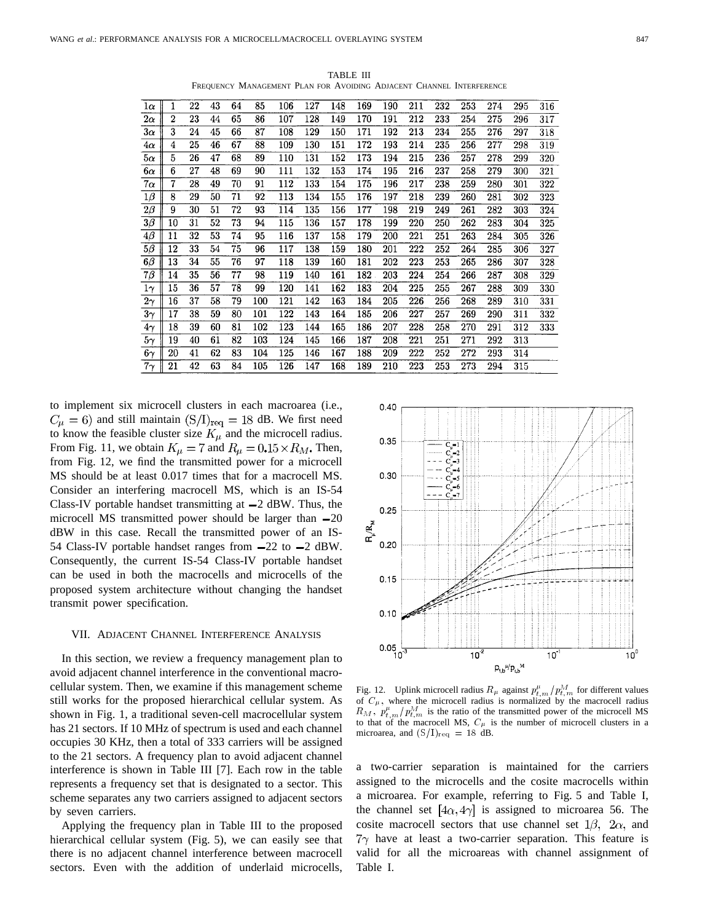$\overline{1\alpha}$  $\mathbf{1}$  $2\alpha$  $\mathbf{2}$  $3\alpha$  $4\alpha$  $\overline{4}$  $\overline{5\alpha}$  $\overline{236}$  $\overline{26}$  $\overline{215}$  $\overline{257}$  $6\alpha$  $\boldsymbol{6}$  $7\alpha$  $\overline{7}$  $70\,$  $\overline{322}$  $1\beta$  $^{260}$  $\overline{2B}$  $\overline{9}$  $\overline{30}$  $\overline{51}$  $\overline{72}$  $\overline{114}$  $\overline{177}$  $\overline{219}$  $\overline{261}$  $3\overline{\beta}$  $\overline{10}$  $\overline{52}$  $\overline{73}$  $\overline{220}$  $\frac{262}{252}$  $\overline{4\beta}$  $\overline{11}$  $\overline{12}$  $\overline{75}$  $\overline{117}$  $\overline{138}$  $\overline{201}$  $\overline{222}$  $5\beta$  $6\beta$  $\overline{286}$  $\overline{328}$  $\overline{7\beta}$  $\overline{77}$  $\overline{161}$  $\overline{203}$  $\overline{224}$  $\overline{78}$  $\overline{204}$  $\overline{225}$  $1\gamma$  $2\gamma$  $\overline{3\gamma}$  $\overline{122}$  $4\gamma$  $\overline{81}$  $\overline{102}$  $\overline{228}$  $5\gamma$  $\overline{221}$  $\overline{271}$  $6\gamma$  $7\gamma$ 

TABLE III FREQUENCY MANAGEMENT PLAN FOR AVOIDING ADJACENT CHANNEL INTERFERENCE

to implement six microcell clusters in each macroarea (i.e.,  $C_{\mu} = 6$ ) and still maintain  $(S/I)_{req} = 18$  dB. We first need to know the feasible cluster size  $K_{\mu}$  and the microcell radius. From Fig. 11, we obtain  $K_{\mu} = 7$  and  $R_{\mu} = 0.15 \times R_M$ . Then, from Fig. 12, we find the transmitted power for a microcell MS should be at least 0.017 times that for a macrocell MS. Consider an interfering macrocell MS, which is an IS-54 Class-IV portable handset transmitting at  $-2$  dBW. Thus, the microcell MS transmitted power should be larger than  $-20$ dBW in this case. Recall the transmitted power of an IS-54 Class-IV portable handset ranges from  $-22$  to  $-2$  dBW. Consequently, the current IS-54 Class-IV portable handset can be used in both the macrocells and microcells of the proposed system architecture without changing the handset transmit power specification.

# VII. ADJACENT CHANNEL INTERFERENCE ANALYSIS

In this section, we review a frequency management plan to avoid adjacent channel interference in the conventional macrocellular system. Then, we examine if this management scheme still works for the proposed hierarchical cellular system. As shown in Fig. 1, a traditional seven-cell macrocellular system has 21 sectors. If 10 MHz of spectrum is used and each channel occupies 30 KHz, then a total of 333 carriers will be assigned to the 21 sectors. A frequency plan to avoid adjacent channel interference is shown in Table III [7]. Each row in the table represents a frequency set that is designated to a sector. This scheme separates any two carriers assigned to adjacent sectors by seven carriers.

Applying the frequency plan in Table III to the proposed hierarchical cellular system (Fig. 5), we can easily see that there is no adjacent channel interference between macrocell sectors. Even with the addition of underlaid microcells,



Fig. 12. Uplink microcell radius  $R_{\mu}$  against  $p_{t,m}^{\mu}/p_{t,m}^{M}$  for different values of  $C_{\mu}$ , where the microcell radius is normalized by the macrocell radius  $R_M$ ,  $p_{t,m}^{\mu}/p_{t,m}^M$  is the ratio of the transmitted power of the microcell MS to that of the macrocell MS,  $C_{\mu}$  is the number of microcell clusters in a microarea, and  $(S/I)_{req} = 18$  dB.

a two-carrier separation is maintained for the carriers assigned to the microcells and the cosite macrocells within a microarea. For example, referring to Fig. 5 and Table I, the channel set  $[4\alpha, 4\gamma]$  is assigned to microarea 56. The cosite macrocell sectors that use channel set  $1\beta$ ,  $2\alpha$ , and  $7\gamma$  have at least a two-carrier separation. This feature is valid for all the microareas with channel assignment of Table I.